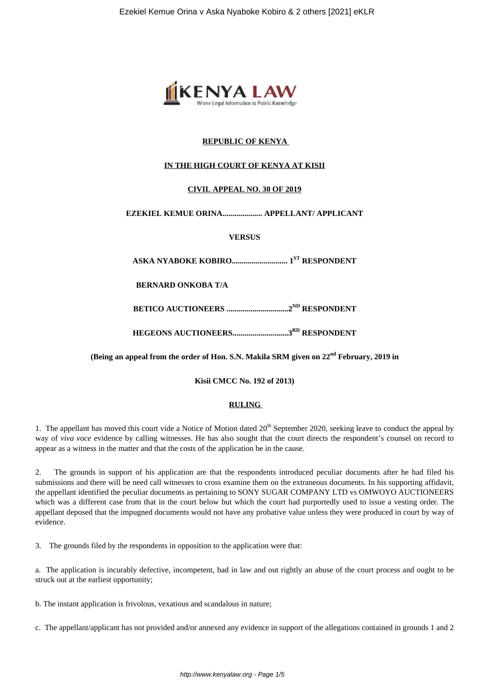

# **REPUBLIC OF KENYA**

### **IN THE HIGH COURT OF KENYA AT KISII**

## **CIVIL APPEAL NO. 30 OF 2019**

### **EZEKIEL KEMUE ORINA.................... APPELLANT/ APPLICANT**

**VERSUS**

**ASKA NYABOKE KOBIRO............................ 1ST RESPONDENT**

**BERNARD ONKOBA T/A**

**BETICO AUCTIONEERS ...............................2ND RESPONDENT**

**HEGEONS AUCTIONEERS............................3RD RESPONDENT**

**(Being an appeal from the order of Hon. S.N. Makila SRM given on 22nd February, 2019 in**

**Kisii CMCC No. 192 of 2013)**

#### **RULING**

1. The appellant has moved this court vide a Notice of Motion dated  $20<sup>th</sup>$  September 2020, seeking leave to conduct the appeal by way of *viva voce* evidence by calling witnesses. He has also sought that the court directs the respondent's counsel on record to appear as a witness in the matter and that the costs of the application be in the cause.

2. The grounds in support of his application are that the respondents introduced peculiar documents after he had filed his submissions and there will be need call witnesses to cross examine them on the extraneous documents. In his supporting affidavit, the appellant identified the peculiar documents as pertaining to SONY SUGAR COMPANY LTD vs OMWOYO AUCTIONEERS which was a different case from that in the court below but which the court had purportedly used to issue a vesting order. The appellant deposed that the impugned documents would not have any probative value unless they were produced in court by way of evidence.

3. The grounds filed by the respondents in opposition to the application were that:

a. The application is incurably defective, incompetent, bad in law and out rightly an abuse of the court process and ought to be struck out at the earliest opportunity;

b. The instant application is frivolous, vexatious and scandalous in nature;

c. The appellant/applicant has not provided and/or annexed any evidence in support of the allegations contained in grounds 1 and 2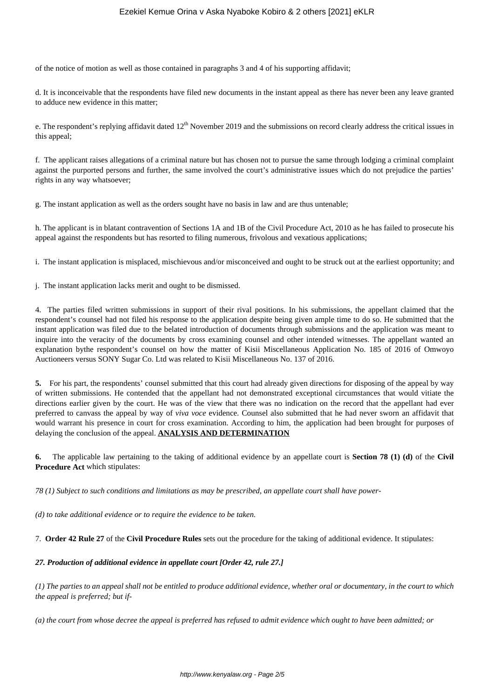of the notice of motion as well as those contained in paragraphs 3 and 4 of his supporting affidavit;

d. It is inconceivable that the respondents have filed new documents in the instant appeal as there has never been any leave granted to adduce new evidence in this matter;

e. The respondent's replying affidavit dated  $12^{th}$  November 2019 and the submissions on record clearly address the critical issues in this appeal;

f. The applicant raises allegations of a criminal nature but has chosen not to pursue the same through lodging a criminal complaint against the purported persons and further, the same involved the court's administrative issues which do not prejudice the parties' rights in any way whatsoever;

g. The instant application as well as the orders sought have no basis in law and are thus untenable;

h. The applicant is in blatant contravention of Sections 1A and 1B of the Civil Procedure Act, 2010 as he has failed to prosecute his appeal against the respondents but has resorted to filing numerous, frivolous and vexatious applications;

i. The instant application is misplaced, mischievous and/or misconceived and ought to be struck out at the earliest opportunity; and

j. The instant application lacks merit and ought to be dismissed.

4. The parties filed written submissions in support of their rival positions. In his submissions, the appellant claimed that the respondent's counsel had not filed his response to the application despite being given ample time to do so. He submitted that the instant application was filed due to the belated introduction of documents through submissions and the application was meant to inquire into the veracity of the documents by cross examining counsel and other intended witnesses. The appellant wanted an explanation bythe respondent's counsel on how the matter of Kisii Miscellaneous Application No. 185 of 2016 of Omwoyo Auctioneers versus SONY Sugar Co. Ltd was related to Kisii Miscellaneous No. 137 of 2016.

**5.** For his part, the respondents' counsel submitted that this court had already given directions for disposing of the appeal by way of written submissions. He contended that the appellant had not demonstrated exceptional circumstances that would vitiate the directions earlier given by the court. He was of the view that there was no indication on the record that the appellant had ever preferred to canvass the appeal by way of *viva voce* evidence. Counsel also submitted that he had never sworn an affidavit that would warrant his presence in court for cross examination. According to him, the application had been brought for purposes of delaying the conclusion of the appeal. **ANALYSIS AND DETERMINATION**

**6.** The applicable law pertaining to the taking of additional evidence by an appellate court is **Section 78 (1) (d)** of the **Civil Procedure Act** which stipulates:

*78 (1) Subject to such conditions and limitations as may be prescribed, an appellate court shall have power-*

*(d) to take additional evidence or to require the evidence to be taken.*

7. **Order 42 Rule 27** of the **Civil Procedure Rules** sets out the procedure for the taking of additional evidence. It stipulates:

#### *27. Production of additional evidence in appellate court [Order 42, rule 27.]*

*(1) The parties to an appeal shall not be entitled to produce additional evidence, whether oral or documentary, in the court to which the appeal is preferred; but if-*

*(a) the court from whose decree the appeal is preferred has refused to admit evidence which ought to have been admitted; or*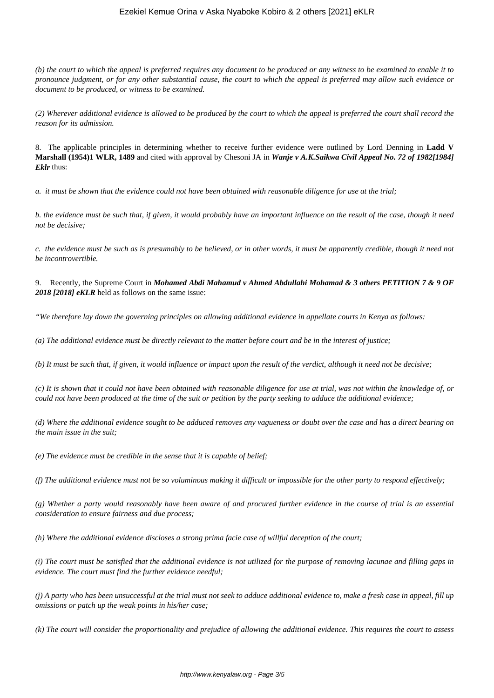### Ezekiel Kemue Orina v Aska Nyaboke Kobiro & 2 others [2021] eKLR

*(b) the court to which the appeal is preferred requires any document to be produced or any witness to be examined to enable it to pronounce judgment, or for any other substantial cause, the court to which the appeal is preferred may allow such evidence or document to be produced, or witness to be examined.*

*(2) Wherever additional evidence is allowed to be produced by the court to which the appeal is preferred the court shall record the reason for its admission.*

8. The applicable principles in determining whether to receive further evidence were outlined by Lord Denning in **Ladd V Marshall (1954)1 WLR, 1489** and cited with approval by Chesoni JA in *Wanje v A.K.Saikwa Civil Appeal No. 72 of 1982[1984] Eklr* thus:

*a. it must be shown that the evidence could not have been obtained with reasonable diligence for use at the trial;*

*b. the evidence must be such that, if given, it would probably have an important influence on the result of the case, though it need not be decisive;*

*c. the evidence must be such as is presumably to be believed, or in other words, it must be apparently credible, though it need not be incontrovertible.*

9. Recently, the Supreme Court in *Mohamed Abdi Mahamud v Ahmed Abdullahi Mohamad & 3 others PETITION 7 & 9 OF 2018 [2018] eKLR* held as follows on the same issue:

*"We therefore lay down the governing principles on allowing additional evidence in appellate courts in Kenya as follows:*

*(a) The additional evidence must be directly relevant to the matter before court and be in the interest of justice;*

*(b) It must be such that, if given, it would influence or impact upon the result of the verdict, although it need not be decisive;*

*(c) It is shown that it could not have been obtained with reasonable diligence for use at trial, was not within the knowledge of, or could not have been produced at the time of the suit or petition by the party seeking to adduce the additional evidence;*

*(d) Where the additional evidence sought to be adduced removes any vagueness or doubt over the case and has a direct bearing on the main issue in the suit;*

*(e) The evidence must be credible in the sense that it is capable of belief;*

*(f) The additional evidence must not be so voluminous making it difficult or impossible for the other party to respond effectively;*

*(g) Whether a party would reasonably have been aware of and procured further evidence in the course of trial is an essential consideration to ensure fairness and due process;*

*(h) Where the additional evidence discloses a strong prima facie case of willful deception of the court;*

*(i) The court must be satisfied that the additional evidence is not utilized for the purpose of removing lacunae and filling gaps in evidence. The court must find the further evidence needful;*

*(j) A party who has been unsuccessful at the trial must not seek to adduce additional evidence to, make a fresh case in appeal, fill up omissions or patch up the weak points in his/her case;*

*(k) The court will consider the proportionality and prejudice of allowing the additional evidence. This requires the court to assess*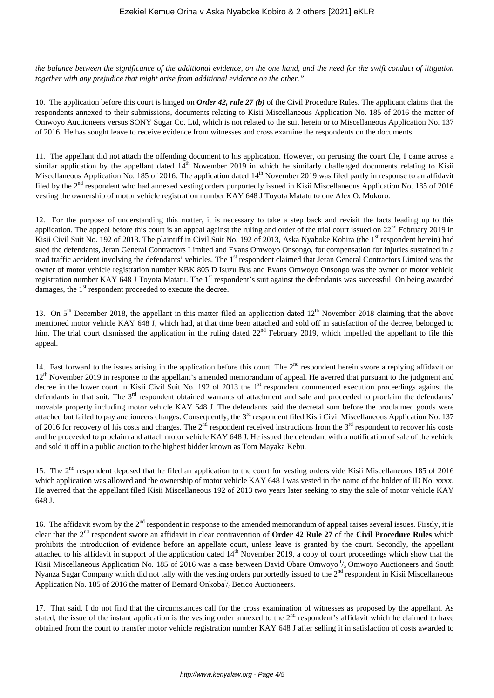*the balance between the significance of the additional evidence, on the one hand, and the need for the swift conduct of litigation together with any prejudice that might arise from additional evidence on the other."*

10. The application before this court is hinged on *Order 42, rule 27 (b)* of the Civil Procedure Rules. The applicant claims that the respondents annexed to their submissions, documents relating to Kisii Miscellaneous Application No. 185 of 2016 the matter of Omwoyo Auctioneers versus SONY Sugar Co. Ltd, which is not related to the suit herein or to Miscellaneous Application No. 137 of 2016. He has sought leave to receive evidence from witnesses and cross examine the respondents on the documents.

11. The appellant did not attach the offending document to his application. However, on perusing the court file, I came across a similar application by the appellant dated  $14<sup>th</sup>$  November 2019 in which he similarly challenged documents relating to Kisii Miscellaneous Application No. 185 of 2016. The application dated 14<sup>th</sup> November 2019 was filed partly in response to an affidavit filed by the 2<sup>nd</sup> respondent who had annexed vesting orders purportedly issued in Kisii Miscellaneous Application No. 185 of 2016 vesting the ownership of motor vehicle registration number KAY 648 J Toyota Matatu to one Alex O. Mokoro.

12. For the purpose of understanding this matter, it is necessary to take a step back and revisit the facts leading up to this application. The appeal before this court is an appeal against the ruling and order of the trial court issued on  $22<sup>nd</sup>$  February 2019 in Kisii Civil Suit No. 192 of 2013. The plaintiff in Civil Suit No. 192 of 2013, Aska Nyaboke Kobira (the 1<sup>st</sup> respondent herein) had sued the defendants, Jeran General Contractors Limited and Evans Omwoyo Onsongo, for compensation for injuries sustained in a road traffic accident involving the defendants' vehicles. The 1<sup>st</sup> respondent claimed that Jeran General Contractors Limited was the owner of motor vehicle registration number KBK 805 D Isuzu Bus and Evans Omwoyo Onsongo was the owner of motor vehicle registration number KAY 648 J Toyota Matatu. The 1<sup>st</sup> respondent's suit against the defendants was successful. On being awarded damages, the 1<sup>st</sup> respondent proceeded to execute the decree.

13. On  $5<sup>th</sup>$  December 2018, the appellant in this matter filed an application dated  $12<sup>th</sup>$  November 2018 claiming that the above mentioned motor vehicle KAY 648 J, which had, at that time been attached and sold off in satisfaction of the decree, belonged to him. The trial court dismissed the application in the ruling dated  $22<sup>nd</sup>$  February 2019, which impelled the appellant to file this appeal.

14. Fast forward to the issues arising in the application before this court. The  $2<sup>nd</sup>$  respondent herein swore a replying affidavit on  $12<sup>th</sup>$  November 2019 in response to the appellant's amended memorandum of appeal. He averred that pursuant to the judgment and decree in the lower court in Kisii Civil Suit No. 192 of 2013 the 1<sup>st</sup> respondent commenced execution proceedings against the defendants in that suit. The  $3<sup>rd</sup>$  respondent obtained warrants of attachment and sale and proceeded to proclaim the defendants' movable property including motor vehicle KAY 648 J. The defendants paid the decretal sum before the proclaimed goods were attached but failed to pay auctioneers charges. Consequently, the 3<sup>rd</sup> respondent filed Kisii Civil Miscellaneous Application No. 137 of 2016 for recovery of his costs and charges. The  $2<sup>nd</sup>$  respondent received instructions from the  $3<sup>rd</sup>$  respondent to recover his costs and he proceeded to proclaim and attach motor vehicle KAY 648 J. He issued the defendant with a notification of sale of the vehicle and sold it off in a public auction to the highest bidder known as Tom Mayaka Kebu.

15. The 2<sup>nd</sup> respondent deposed that he filed an application to the court for vesting orders vide Kisii Miscellaneous 185 of 2016 which application was allowed and the ownership of motor vehicle KAY 648 J was vested in the name of the holder of ID No. xxxx. He averred that the appellant filed Kisii Miscellaneous 192 of 2013 two years later seeking to stay the sale of motor vehicle KAY 648 J.

16. The affidavit sworn by the  $2<sup>nd</sup>$  respondent in response to the amended memorandum of appeal raises several issues. Firstly, it is clear that the 2nd respondent swore an affidavit in clear contravention of **Order 42 Rule 27** of the **Civil Procedure Rules** which prohibits the introduction of evidence before an appellate court, unless leave is granted by the court. Secondly, the appellant attached to his affidavit in support of the application dated 14<sup>th</sup> November 2019, a copy of court proceedings which show that the Kisii Miscellaneous Application No. 185 of 2016 was a case between David Obare Omwoyo  $\frac{1}{a}$ Omwoyo Auctioneers and South Nyanza Sugar Company which did not tally with the vesting orders purportedly issued to the  $2<sup>nd</sup>$  respondent in Kisii Miscellaneous Application No. 185 of 2016 the matter of Bernard Onkoba<sup>t</sup>/<sub>a</sub> Betico Auctioneers.

17. That said, I do not find that the circumstances call for the cross examination of witnesses as proposed by the appellant. As stated, the issue of the instant application is the vesting order annexed to the  $2<sup>nd</sup>$  respondent's affidavit which he claimed to have obtained from the court to transfer motor vehicle registration number KAY 648 J after selling it in satisfaction of costs awarded to